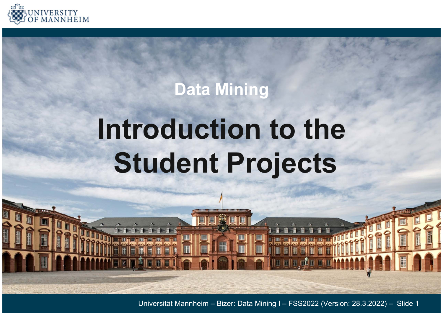

# **Data Mining**

# **Introduction to the Student Projects**

Universität Mannheim – Bizer: Data Mining I – FSS2022 (Version: 28.3.2022) – Slide 1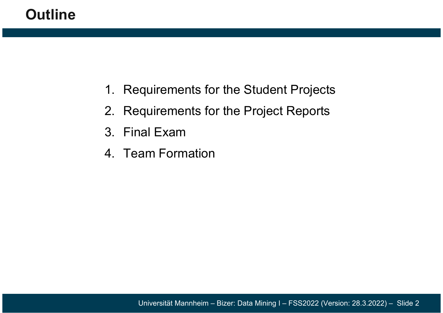#### **Outline**

- 1. Requirements for the Student Projects
- 2. Requirements for the Project Reports
- 3. Final Exam
- 4. Team Formation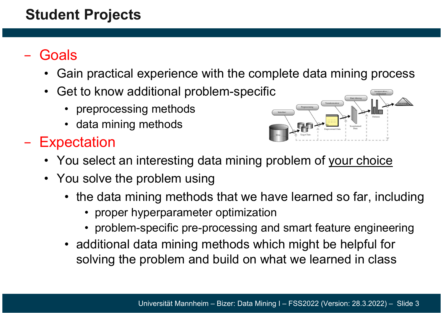#### **Student Projects**

#### −**Goals**

- Gain practical experience with the complete data mining proces s
- $\bullet$  Get to know additional problem-specific
	- preprocessing methods
	- data mining methods
- −- Expectation



- You select an interesting data mining problem of your choice
- You solve the problem using
	- the data mining methods that we have learned so far, including
		- proper hyperparameter optimization
		- problem-specific pre-processing and smart feature engineering
	- additional data mining methods which might be helpful for solving the problem and build on what we learned in class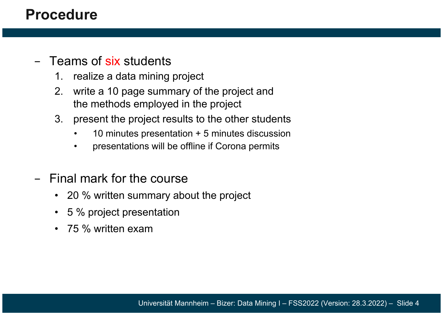#### **Procedure**

#### − Teams of six students

- 1. realize a data mining project
- 2. write a 10 page summary of the project and the methods employed in the project
- 3. present the project results to the other students
	- •10 minutes presentation + 5 minutes discussion
	- •presentations will be offline if Corona permits
- − Final mark for the course
	- 20 % written summary about the project
	- 5 % project presentation
	- 75 % written exam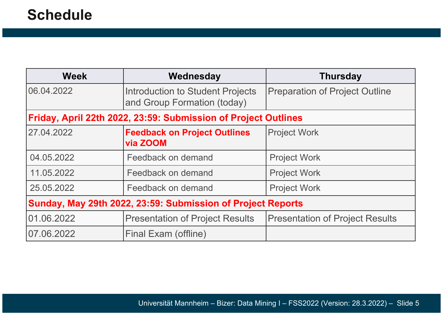| <b>Week</b>                                                    | Wednesday                                                              | <b>Thursday</b>                        |
|----------------------------------------------------------------|------------------------------------------------------------------------|----------------------------------------|
| 06.04.2022                                                     | <b>Introduction to Student Projects</b><br>and Group Formation (today) | <b>Preparation of Project Outline</b>  |
| Friday, April 22th 2022, 23:59: Submission of Project Outlines |                                                                        |                                        |
| 27.04.2022                                                     | <b>Feedback on Project Outlines</b><br>via ZOOM                        | <b>Project Work</b>                    |
| 04.05.2022                                                     | Feedback on demand                                                     | <b>Project Work</b>                    |
| 11.05.2022                                                     | Feedback on demand                                                     | <b>Project Work</b>                    |
| 25.05.2022                                                     | Feedback on demand                                                     | <b>Project Work</b>                    |
| Sunday, May 29th 2022, 23:59: Submission of Project Reports    |                                                                        |                                        |
| 01.06.2022                                                     | <b>Presentation of Project Results</b>                                 | <b>Presentation of Project Results</b> |
| 07.06.2022                                                     | Final Exam (offline)                                                   |                                        |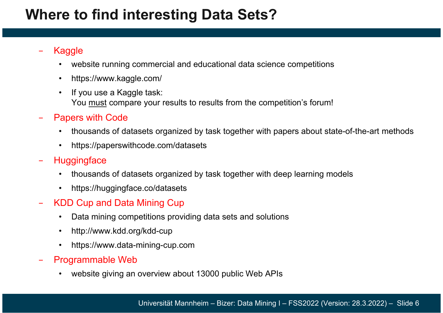#### **Where to find interesting Data Sets?**

#### Kaggle

- •website running commercial and educational data science competitions
- •https://www.kaggle.com/
- • If you use a Kaggle task: You must compare your results to results from the competition's forum!
- − Papers with Code
	- •thousands of datasets organized by task together with papers about state-of-the-art methods
	- •https://paperswithcode.com/datasets
- −**Huggingface** 
	- $\bullet$ thousands of datasets organized by task together with deep learning models
	- •https://huggingface.co/datasets
- − KDD Cup and Data Mining Cup
	- $\bullet$ Data mining competitions providing data sets and solutions
	- •http://www.kdd.org/kdd-cup
	- •https://www.data-mining-cup.com
- − Programmable Web
	- •website giving an overview about 13000 public Web APIs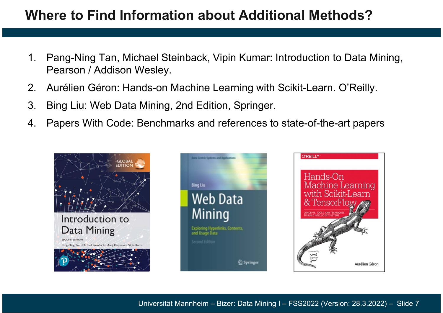#### **Where to Find Information about Additional Methods?**

- 1. Pang-Ning Tan, Michael Steinback, Vipin Kumar: Introduction to Data Mining, Pearson / Addison Wesley.
- 2. Aurélien Géron: Hands-on Machine Learning with Scikit-Learn. O'Reilly.
- 3. Bing Liu: Web Data Mining, 2nd Edition, Springer.
- 4. Papers With Code: Benchmarks and references to state-of-the-art papers

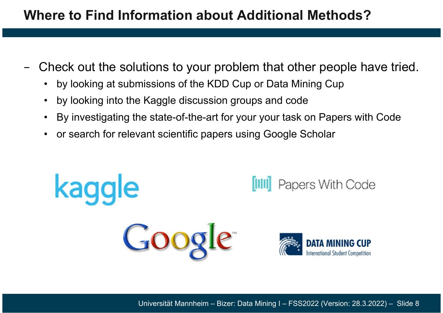#### **Where to Find Information about Additional Methods?**

- − Check out the solutions to your problem that other people have tried.
	- $\bullet$ by looking at submissions of the KDD Cup or Data Mining Cup
	- •by looking into the Kaggle discussion groups and code
	- •By investigating the state-of-the-art for your your task on Papers with Code
	- •or search for relevant scientific papers using Google Scholar

Google

kaqqle



Papers With Code

Universität Mannheim – Bizer: Data Mining I – FSS2022 (Version: 28.3.2022) – Slide 8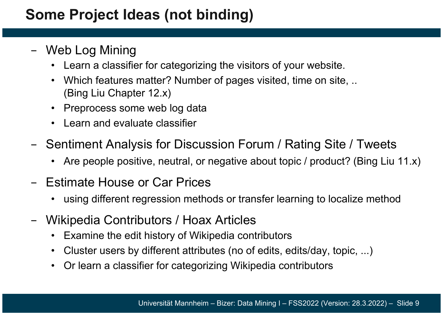#### **Some Project Ideas (not binding)**

- − Web Log Mining
	- Learn a classifier for categorizing the visitors of your website.
	- Which features matter? Number of pages visited, time on site, .. (Bing Liu Chapter 12.x)
	- Preprocess some web log data
	- Learn and evaluate classifier
- −- Sentiment Analysis for Discussion Forum / Rating Site / Tweets
	- Are people positive, neutral, or negative about topic / product? (Bing Liu 11.x)
- − Estimate House or Car Prices
	- •using different regression methods or transfer learning to localize method
- − Wikipedia Contributors / Hoax Articles
	- •Examine the edit history of Wikipedia contributors
	- •Cluster users by different attributes (no of edits, edits/day, topic, ...)
	- •Or learn a classifier for categorizing Wikipedia contributors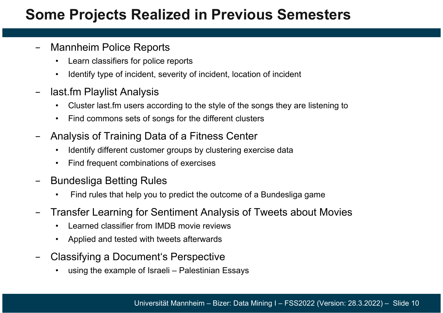#### **Some Projects Realized in Previous Semesters**

- − Mannheim Police Reports
	- •Learn classifiers for police reports
	- •Identify type of incident, severity of incident, location of incident
- − last.fm Playlist Analysis
	- •Cluster last.fm users according to the style of the songs they are listening to
	- •Find commons sets of songs for the different clusters
- − Analysis of Training Data of a Fitness Center
	- •Identify different customer groups by clustering exercise data
	- •Find frequent combinations of exercises
- − Bundesliga Betting Rules
	- •Find rules that help you to predict the outcome of a Bundesliga game
- Transfer Learning for Sentiment Analysis of Tweets about Movies
	- •Learned classifier from IMDB movie reviews
	- •Applied and tested with tweets afterwards
- − Classifying a Document's Perspective
	- •using the example of Israeli – Palestinian Essays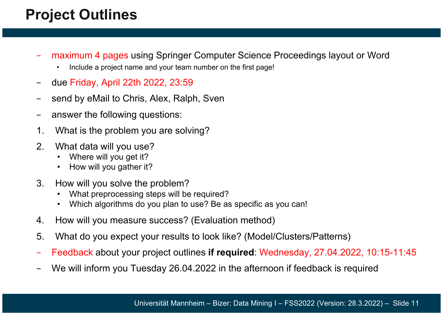# **Project Outlines**

- maximum 4 pages using Springer Computer Science Proceedings layout or Word
	- •Include a project name and your team number on the first page!
- −due Friday, April 22th 2022, 23:59
- −send by eMail to Chris, Alex, Ralph, Sven
- −answer the following questions:
- 1. What is the problem you are solving?
- 2. What data will you use?
	- •Where will you get it?
	- •How will you gather it?
- 3. How will you solve the problem?
	- •What preprocessing steps will be required?
	- $\bullet$ Which algorithms do you plan to use? Be as specific as you can!
- 4. How will you measure success? (Evaluation method)
- 5. What do you expect your results to look like? (Model/Clusters/Patterns)
- −Feedback about your project outlines **if required**: Wednesday, 27.04.2022, 10:15-11:45
- We will inform you Tuesday 26.04.2022 in the afternoon if feedback is required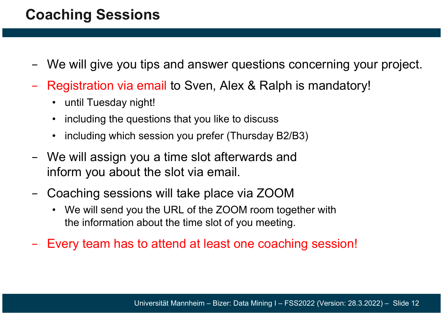#### **Coaching Sessions**

- −We will give you tips and answer questions concerning your project.
- Registration via email to Sven, Alex & Ralph is mandatory!
	- •until Tuesday night!
	- •including the questions that you like to discuss
	- •including which session you prefer (Thursday B2/B3)
- − We will assign you a time slot afterwards and inform you about the slot via email.
- − Coaching sessions will take place via ZOOM
	- We will send you the URL of the ZOOM room together with the information about the time slot of you meeting.
- −Every team has to attend at least one coaching session!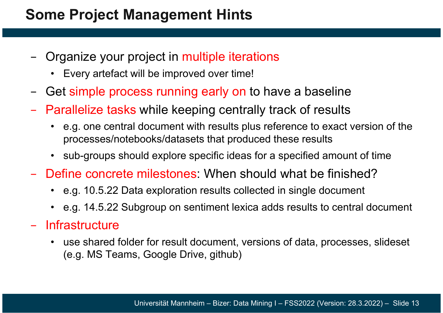#### **Some Project Management Hints**

- − Organize your project in multiple iterations
	- •Every artefact will be improved over time!
- −Get simple process running early on to have a baseline
- −- Parallelize tasks while keeping centrally track of results
	- • e.g. one central document with results plus reference to exact version of the processes/notebooks/datasets that produced these results
	- •sub-groups should explore specific ideas for a specified amount of time
- Define concrete milestones: When should what be finished?
	- e.g. 10.5.22 Data exploration results collected in single document
	- e.g. 14.5.22 Subgroup on sentiment lexica adds results to central document

#### − Infrastructure

• use shared folder for result document, versions of data, processes, slideset (e.g. MS Teams, Google Drive, github)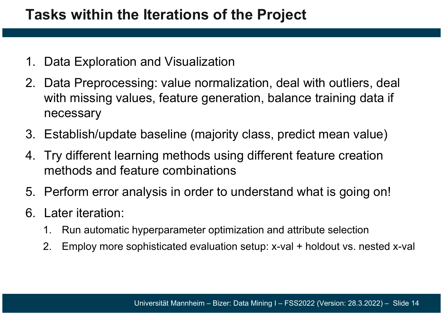- 1. Data Exploration and Visualization
- 2. Data Preprocessing: value normalization, deal with outliers, deal with missing values, feature generation, balance training data if necessary
- 3. Establish/update baseline (majority class, predict mean value )
- 4. Try different learning methods using different feature creation methods and feature combinations
- 5. Perform error analysis in order to understand what is going on!
- 6. Later iteration:
	- 1. Run automatic hyperparameter optimization and attribute selection
	- 2. Employ more sophisticated evaluation setup: x-val + holdout vs. nested x-val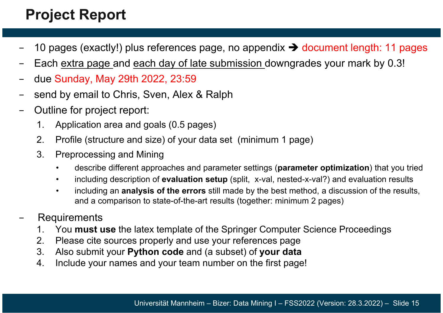### **Project Report**

- 10 pages (exactly!) plus references page, no appendix → document length: 11 pages
- Each extra page and each day of late submission downgrades your mark by 0.3!
- due Sunday, May 29th 2022, 23:59
- send by email to Chris, Sven, Alex & Ralph
- Outline for project report:
	- 1. Application area and goals (0.5 pages)
	- 2. Profile (structure and size) of your data set (minimum 1 page)
	- 3. Preprocessing and Mining
		- •describe different approaches and parameter settings (**parameter optimization**) that you tried
		- •including description of **evaluation setup** (split, x-val, nested-x-val?) and evaluation results
		- • including an **analysis of the errors** still made by the best method, a discussion of the results, and a comparison to state-of-the-art results (together: minimum 2 pages)
- Requirements
	- 1. You **must use** the latex template of the Springer Computer Science Proceedings
	- 2. Please cite sources properly and use your references page
	- 3. Also submit your **Python code** and (a subset) of **your data**
	- 4. Include your names and your team number on the first page!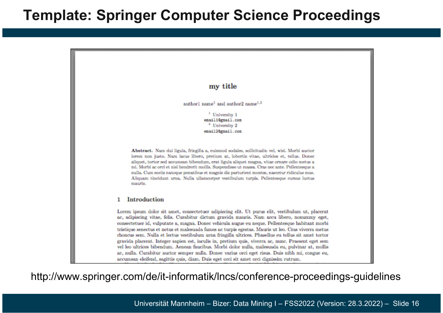#### **Template: Springer Computer Science Proceedings**



http://www.springer.com/de/it-informatik/lncs/conference-proceedings-guidelines

Universität Mannheim – Bizer: Data Mining I – FSS2022 (Version: 28.3.2022) – Slide 16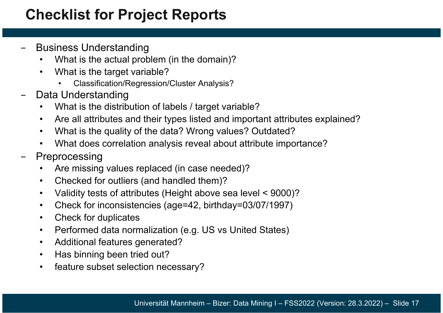### **Checklist for Project Reports**

- − Business Understanding
	- •What is the actual problem (in the domain)?
	- $\bullet$  What is the target variable?
		- Classification/Regression/Cluster Analysis?
- −Data Understanding

•

- •What is the distribution of labels / target variable?
- $\bullet$ Are all attributes and their types listed and important attributes explained?
- $\bullet$ What is the quality of the data? Wrong values? Outdated?
- $\bullet$ What does correlation analysis reveal about attribute importance?
- − Preprocessing
	- •Are missing values replaced (in case needed)?
	- •Checked for outliers (and handled them)?
	- •Validity tests of attributes (Height above sea level < 9000)?
	- $\bullet$ Check for inconsistencies (age=42, birthday=03/07/1997)
	- $\bullet$ Check for duplicates
	- $\bullet$ Performed data normalization (e.g. US vs United States)
	- $\bullet$ Additional features generated?
	- $\bullet$ Has binning been tried out?
	- $\bullet$ feature subset selection necessary?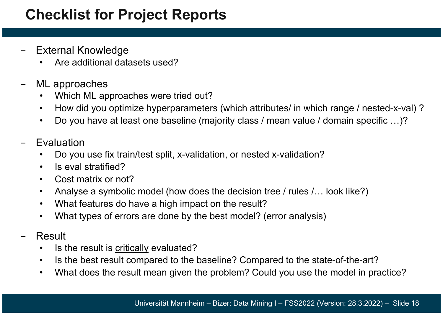#### **Checklist for Project Reports**

- − External Knowledge
	- •Are additional datasets used?
- − ML approaches
	- •Which ML approaches were tried out?
	- $\bullet$ How did you optimize hyperparameters (which attributes/ in which range / nested-x-val) ?
	- $\bullet$ Do you have at least one baseline (majority class / mean value / domain specific …)?
- − Evaluation
	- •Do you use fix train/test split, x-validation, or nested x-validation?
	- •Is eval stratified?
	- $\bullet$ Cost matrix or not?
	- $\bullet$ Analyse a symbolic model (how does the decision tree / rules /… look like?)
	- $\bullet$ What features do have a high impact on the result?
	- $\bullet$ What types of errors are done by the best model? (error analysis)
- − Result
	- •Is the result is critically evaluated?
	- $\bullet$ Is the best result compared to the baseline? Compared to the state-of-the-art?
	- •What does the result mean given the problem? Could you use the model in practice?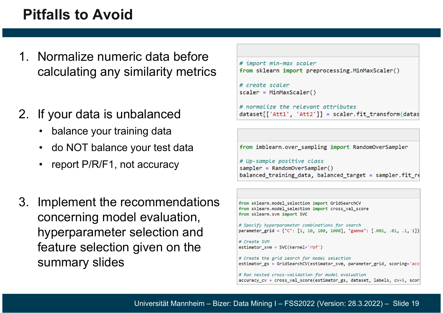#### **Pitfalls to Avoid**

- 1. Normalize numeric data before calculating any similarity metrics
- 2. If your data is unbalanced
	- •balance your training data
	- do NOT balance your test data
	- •report P/R/F1, not accuracy
- 3. Implement the recommendations concerning model evaluation, hyperparameter selection and feature selection given on the summary slides

```
# import min-max scaler
from sklearn import preprocessing.MinMaxScaler()
# create scaler
scalar = MinMaxScalar()# normalize the relevant attributes
```

```
dataset[['Att1', 'Att2']] = scaler.fit_transform(datas
```
from imblearn.over sampling import RandomOverSampler

```
# Up-sample positive class
sampler = RandomOverSampler()balanced_training_data, balanced_target = sampler.fit_re
```

```
from sklearn.model selection import GridSearchCV
from sklearn. model selection import cross val score
from sklearn.svm import SVC
# Specify hyperparameter combinations for search
parameter grid = {"C": [1, 10, 100, 1000], "gamma": [.001, .01, .1, 1]}
# Create SVM
estimator\_swm = SVC(kerne1='rbf')# Create the grid search for model selection
estimator_gs = GridSearchCV(estimator_svm, parameter_grid, scoring='acc
# Run nested cross-validation for model evaluation
accuracy_cv = cross_val_score(estimator_gs, dataset, labels, cv=5, scor;
```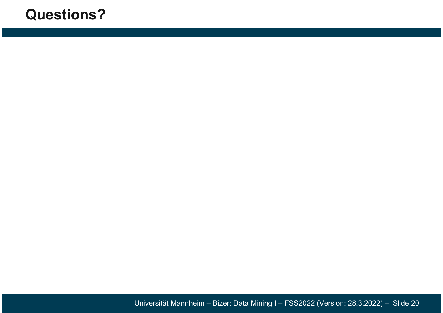#### **Questions?**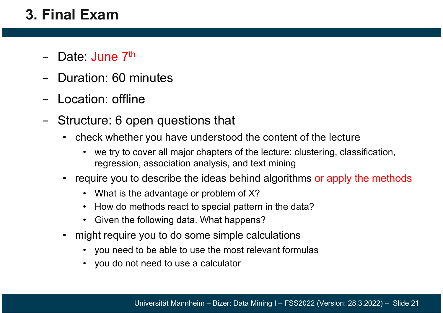#### **3. Final Exam**

- − Date: June 7<sup>th</sup>
- Duration: 60 minutes
- Location: offline
- Structure: 6 open questions that
	- check whether you have understood the content of the lecture
		- we try to cover all major chapters of the lecture: clustering, classification, regression, association analysis, and text mining
	- • require you to describe the ideas behind algorithms or apply the methods
		- What is the advantage or problem of X?
		- •How do methods react to special pattern in the data?
		- $\bullet$ Given the following data. What happens?
	- • might require you to do some simple calculations
		- you need to be able to use the most relevant formulas
		- you do not need to use a calculator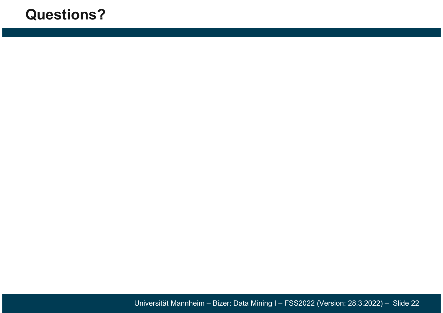#### **Questions?**